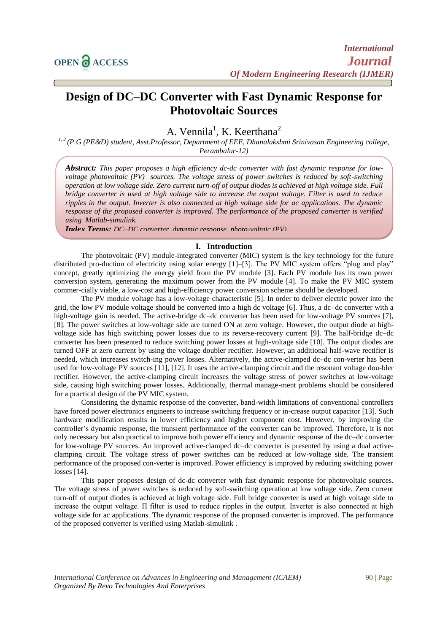

# **Design of DC–DC Converter with Fast Dynamic Response for Photovoltaic Sources**

# A. Vennila<sup>1</sup>, K. Keerthana<sup>2</sup>

*1, 2 (P.G (PE&D) student, Asst.Professor, Department of EEE, Dhanalakshmi Srinivasan Engineering college, Perambalur-12)*

*Abstract: This paper proposes a high efficiency dc-dc converter with fast dynamic response for lowvoltage photovoltaic (PV) sources. The voltage stress of power switches is reduced by soft-switching operation at low voltage side. Zero current turn-off of output diodes is achieved at high voltage side. Full bridge converter is used at high voltage side to increase the output voltage. Filter is used to reduce ripples in the output. Inverter is also connected at high voltage side for ac applications. The dynamic response of the proposed converter is improved. The performance of the proposed converter is verified using Matlab-simulink.*

*Index Terms: DC–DC converter, dynamic response, photo-voltaic (PV).*

# **I. Introduction**

The photovoltaic (PV) module-integrated converter (MIC) system is the key technology for the future distributed pro-duction of electricity using solar energy [1]–[3]. The PV MIC system offers "plug and play" concept, greatly optimizing the energy yield from the PV module [3]. Each PV module has its own power conversion system, generating the maximum power from the PV module [4]. To make the PV MIC system commer-cially viable, a low-cost and high-efficiency power conversion scheme should be developed.

The PV module voltage has a low-voltage characteristic [5]. In order to deliver electric power into the grid, the low PV module voltage should be converted into a high dc voltage [6]. Thus, a dc–dc converter with a high-voltage gain is needed. The active-bridge dc–dc converter has been used for low-voltage PV sources [7], [8]. The power switches at low-voltage side are turned ON at zero voltage. However, the output diode at highvoltage side has high switching power losses due to its reverse-recovery current [9]. The half-bridge dc–dc converter has been presented to reduce switching power losses at high-voltage side [10]. The output diodes are turned OFF at zero current by using the voltage doubler rectifier. However, an additional half-wave rectifier is needed, which increases switch-ing power losses. Alternatively, the active-clamped dc–dc con-verter has been used for low-voltage PV sources [11], [12]. It uses the active-clamping circuit and the resonant voltage dou-bler rectifier. However, the active-clamping circuit increases the voltage stress of power switches at low-voltage side, causing high switching power losses. Additionally, thermal manage-ment problems should be considered for a practical design of the PV MIC system.

Considering the dynamic response of the converter, band-width limitations of conventional controllers have forced power electronics engineers to increase switching frequency or in-crease output capacitor [13]. Such hardware modification results in lower efficiency and higher component cost. However, by improving the controller's dynamic response, the transient performance of the converter can be improved. Therefore, it is not only necessary but also practical to improve both power efficiency and dynamic response of the dc–dc converter for low-voltage PV sources. An improved active-clamped dc–dc converter is presented by using a dual activeclamping circuit. The voltage stress of power switches can be reduced at low-voltage side. The transient performance of the proposed con-verter is improved. Power efficiency is improved by reducing switching power losses [14].

This paper proposes design of dc-dc converter with fast dynamic response for photovoltaic sources. The voltage stress of power switches is reduced by soft-switching operation at low voltage side. Zero current turn-off of output diodes is achieved at high voltage side. Full bridge converter is used at high voltage side to increase the output voltage. Π filter is used to reduce ripples in the output. Inverter is also connected at high voltage side for ac applications. The dynamic response of the proposed converter is improved. The performance of the proposed converter is verified using Matlab-simulink .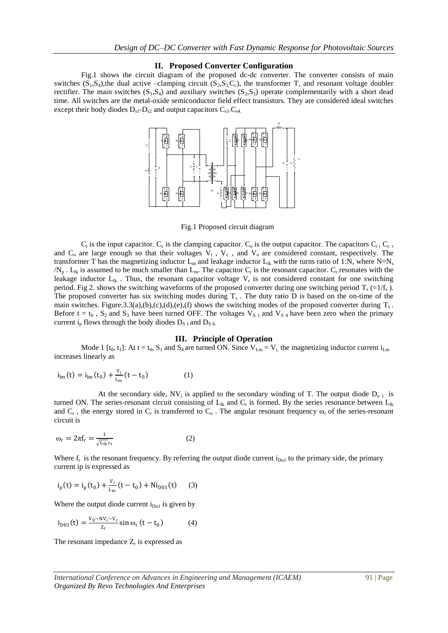# **II. Proposed Converter Configuration**

Fig.1 shows the circuit diagram of the proposed dc-dc converter. The converter consists of main switches  $(S_1, S_4)$ , the dual active –clamping circuit  $(S_2, S_3, C_c)$ , the transformer T, and resonant voltage doubler rectifier. The main switches  $(S_1, S_4)$  and auxiliary switches  $(S_2, S_3)$  operate complementarily with a short dead time. All switches are the metal-oxide semiconductor field effect transistors. They are considered ideal switches except their body diodes  $D_{s1}$ - $D_{s2}$  and output capacitors  $C_{s1}$ - $C_{s4}$ .



Fig.1 Proposed circuit diagram

 $C_i$  is the input capacitor.  $C_c$  is the clamping capacitor.  $C_o$  is the output capacitor. The capacitors  $C_i$ ,  $C_c$ , and  $C_0$  are large enough so that their voltages  $V_i$ ,  $V_c$ , and  $V_o$  are considered constant, respectively. The transformer T has the magnetizing inductor  $L_m$  and leakage inductor  $L_{lk}$  with the turns ratio of 1:N, where N=N<sub>s</sub>  $/N_p$ . L<sub>lk</sub> is assumed to be much smaller than L<sub>m</sub>. The capacitor C<sub>r</sub> is the resonant capacitor. C<sub>r</sub> resonates with the leakage inductor  $L_{ik}$ . Thus, the resonant capacitor voltage  $V_r$  is not considered constant for one switching period. Fig 2. shows the switching waveforms of the proposed converter during one switching period  $T_s$  (=1/f<sub>s</sub>). The proposed converter has six switching modes during  $T_s$ . The duty ratio D is based on the on-time of the main switches. Figure.3.3(a),(b),(c),(d),(e),(f) shows the switching modes of the proposed converter during  $T_s$ . Before t = t<sub>0</sub>, S<sub>2</sub> and S<sub>3</sub> have been turned OFF. The voltages V<sub>S<sub>1</sub></sub> and V<sub>S<sub>4</sub> have been zero when the primary</sub> current i<sub>p</sub> flows through the body diodes  $D_{S_1}$  and  $D_{S_4}$ .

#### **III. Principle of Operation**

Mode 1 [t<sub>0</sub>, t<sub>1</sub>]: At t = t<sub>0</sub>, S<sub>1</sub> and S<sub>4</sub> are turned ON. Since  $V_{Lm} = V_i$ , the magnetizing inductor current i<sub>Lm</sub> increases linearly as

$$
i_{lm}(t) = i_{lm}(t_0) + \frac{v_i}{L_m}(t - t_0)
$$
 (1)

At the secondary side,  $NV_i$  is applied to the secondary winding of T. The output diode  $D_{o,1}$  is turned ON. The series-resonant circuit consisting of  $L_{ik}$  and  $C_r$  is formed. By the series resonance between  $L_{ik}$ and  $C_r$ , the energy stored in  $C_r$  is transferred to  $C_o$ . The angular resonant frequency  $\omega_r$  of the series-resonant circuit is

$$
\omega_{\rm r} = 2\pi f_{\rm r} = \frac{1}{\sqrt{\mathcal{L}_{\rm lk}}c_{\rm r}}\tag{2}
$$

Where  $f_r$  is the resonant frequency. By referring the output diode current  $i_{D01}$  to the primary side, the primary current ip is expressed as

$$
i_p(t) = i_p(t_0) + \frac{v_i}{L_m}(t - t_0) + Ni_{D01}(t)
$$
 (3)

Where the output diode current  $i_{Do1}$  is given by

$$
i_{D01}(t) = \frac{v_0 - NV_i - V_r}{z_r} \sin \omega_r (t - t_0)
$$
 (4)

The resonant impedance  $Z_r$  is expressed as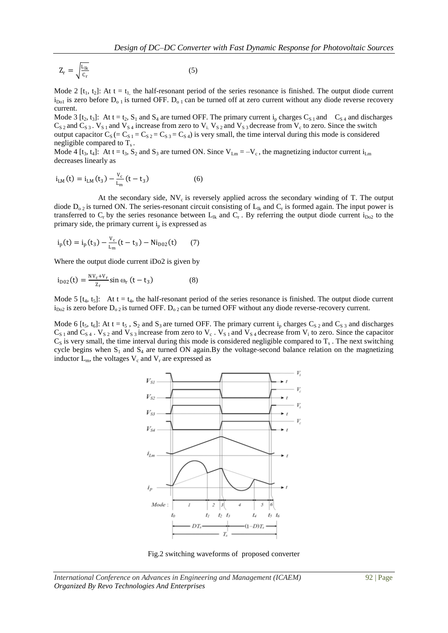$$
Z_{r} = \sqrt{\frac{L_{lk}}{C_{r}}} \tag{5}
$$

Mode 2  $[t_1, t_2]$ : At t =  $t_1$ , the half-resonant period of the series resonance is finished. The output diode current  $i_{D01}$  is zero before  $D_{01}$  is turned OFF.  $D_{01}$  can be turned off at zero current without any diode reverse recovery current.

Mode 3  $[t_2, t_3]$ : At t =  $t_2$ ,  $S_1$  and  $S_4$  are turned OFF. The primary current  $i_p$  charges  $C_{S_1}$  and  $C_{S_4}$  and discharges  $C_{S_2}$  and  $C_{S_3}$ .  $V_{S_1}$  and  $V_{S_4}$  increase from zero to  $V_i$ .  $V_{S_2}$  and  $V_{S_3}$  decrease from  $V_c$  to zero. Since the switch output capacitor  $C_S (= C_{S1} = C_{S2} = C_{S3} = C_{S4})$  is very small, the time interval during this mode is considered negligible compared to T<sub>s</sub>.

Mode 4 [t<sub>3</sub>, t<sub>4</sub>]: At t = t<sub>3</sub>, S<sub>2</sub> and S<sub>3</sub> are turned ON. Since  $V_{\text{Lm}} = -V_c$ , the magnetizing inductor current i<sub>Lm</sub> decreases linearly as

$$
i_{LM}(t) = i_{LM}(t_3) - \frac{v_c}{L_m}(t - t_3)
$$
 (6)

At the secondary side,  $NV_c$  is reversely applied across the secondary winding of T. The output diode  $D_{0,2}$  is turned ON. The series-resonant circuit consisting of  $L_{ik}$  and  $C_r$  is formed again. The input power is transferred to  $C_r$  by the series resonance between  $L_{ik}$  and  $C_r$ . By referring the output diode current  $i_{Do2}$  to the primary side, the primary current  $i<sub>p</sub>$  is expressed as

$$
i_{p}(t) = i_{p}(t_{3}) - \frac{v_{c}}{L_{m}}(t - t_{3}) - Ni_{D02}(t)
$$
 (7)

Where the output diode current iDo2 is given by

$$
i_{D02}(t) = \frac{NV_c + V_r}{Z_r} \sin \omega_r (t - t_3)
$$
 (8)

Mode 5  $[t_4, t_5]$ : At t =  $t_4$ , the half-resonant period of the series resonance is finished. The output diode current  $i_{D_02}$  is zero before  $D_{02}$  is turned OFF.  $D_{02}$  can be turned OFF without any diode reverse-recovery current.

Mode 6 [t<sub>5</sub>, t<sub>6</sub>]: At t = t<sub>5</sub>, S<sub>2</sub> and S<sub>3</sub> are turned OFF. The primary current i<sub>p</sub> charges C<sub>S2</sub> and C<sub>S3</sub> and discharges  $C_{S_1}$  and  $C_{S_4}$ .  $V_{S_2}$  and  $V_{S_3}$  increase from zero to  $V_c$ .  $V_{S_1}$  and  $V_{S_4}$  decrease from  $V_i$  to zero. Since the capacitor  $C_S$  is very small, the time interval during this mode is considered negligible compared to  $T_s$ . The next switching cycle begins when  $S_1$  and  $S_4$  are turned ON again. By the voltage-second balance relation on the magnetizing inductor  $L_m$ , the voltages  $V_c$  and  $V_r$  are expressed as



Fig.2 switching waveforms of proposed converter

*International Conference on Advances in Engineering and Management (ICAEM)* 92 | Page *Organized By Revo Technologies And Enterprises*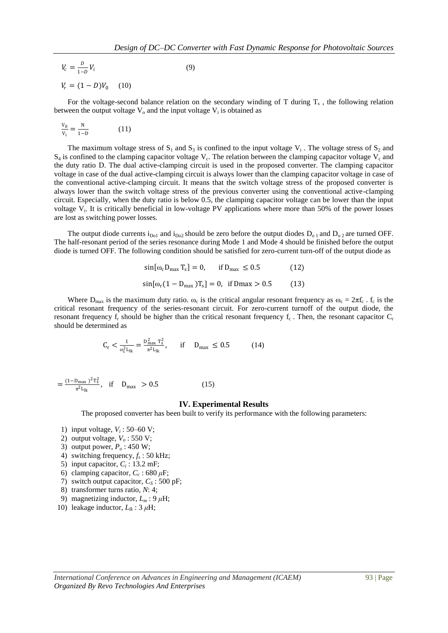$$
V_c = \frac{D}{1 - D} V_i
$$
 (9)  

$$
V_r = (1 - D)V_0
$$
 (10)

For the voltage-second balance relation on the secondary winding of  $T$  during  $T_s$ , the following relation between the output voltage  $V_0$  and the input voltage  $V_i$  is obtained as

$$
\frac{v_0}{v_i} = \frac{N}{1 - D} \tag{11}
$$

The maximum voltage stress of  $S_1$  and  $S_3$  is confined to the input voltage  $V_i$ . The voltage stress of  $S_2$  and  $S_4$  is confined to the clamping capacitor voltage  $V_c$ . The relation between the clamping capacitor voltage  $V_c$  and the duty ratio D. The dual active-clamping circuit is used in the proposed converter. The clamping capacitor voltage in case of the dual active-clamping circuit is always lower than the clamping capacitor voltage in case of the conventional active-clamping circuit. It means that the switch voltage stress of the proposed converter is always lower than the switch voltage stress of the previous converter using the conventional active-clamping circuit. Especially, when the duty ratio is below 0.5, the clamping capacitor voltage can be lower than the input voltage  $V_i$ . It is critically beneficial in low-voltage PV applications where more than 50% of the power losses are lost as switching power losses.

The output diode currents  $i_{Do1}$  and  $i_{Do2}$  should be zero before the output diodes  $D_{o1}$  and  $D_{o2}$  are turned OFF. The half-resonant period of the series resonance during Mode 1 and Mode 4 should be finished before the output diode is turned OFF. The following condition should be satisfied for zero-current turn-off of the output diode as

$$
\sin[\omega_c D_{\text{max}} T_s] = 0, \quad \text{if } D_{\text{max}} \le 0.5 \tag{12}
$$

$$
\sin[\omega_r (1 - D_{\text{max}}) T_s] = 0, \text{ if } D\text{max} > 0.5 \tag{13}
$$

Where  $D_{max}$  is the maximum duty ratio.  $\omega_c$  is the critical angular resonant frequency as  $\omega_c = 2\pi f_c$ .  $f_c$  is the critical resonant frequency of the series-resonant circuit. For zero-current turnoff of the output diode, the resonant frequency  $f_r$  should be higher than the critical resonant frequency  $f_c$ . Then, the resonant capacitor  $C_r$ should be determined as

$$
C_{r} < \frac{1}{\omega_{c}^{2} L_{lk}} = \frac{D_{\text{max}}^{2} T_{s}^{2}}{\pi^{2} L_{lk}}, \quad \text{if} \quad D_{\text{max}} \le 0.5 \tag{14}
$$

$$
=\frac{(1-D_{\text{max}})^2T_s^2}{\pi^2 L_{\text{lk}}}, \quad \text{if} \quad D_{\text{max}} > 0.5 \tag{15}
$$

### **IV. Experimental Results**

The proposed converter has been built to verify its performance with the following parameters:

- 1) input voltage,  $V_i$ : 50–60 V;
- 2) output voltage,  $V<sub>o</sub>$  : 550 V;
- 3) output power, *P<sup>o</sup>* : 450 W;
- 4) switching frequency,  $f_s$ : 50 kHz;
- 5) input capacitor,  $C_i$ : 13.2 mF;
- 6) clamping capacitor,  $C_c$ : 680  $\mu$ F;
- 7) switch output capacitor,  $C_S$ : 500 pF;
- 8) transformer turns ratio, *N*: 4;
- 9) magnetizing inductor,  $L_m$ : 9  $\mu$ H;
- 10) leakage inductor,  $L_{lk}$  : 3  $\mu$ H;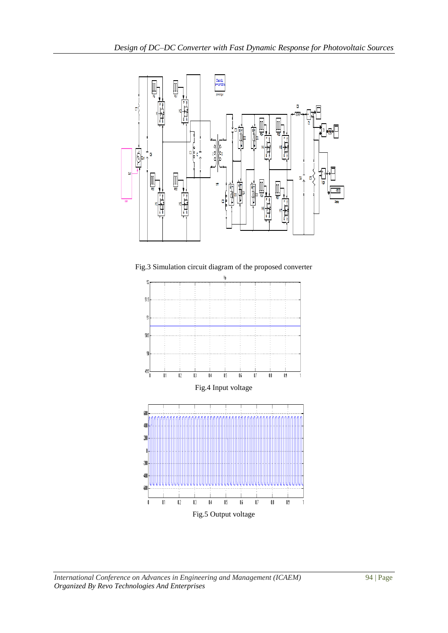

Fig.3 Simulation circuit diagram of the proposed converter